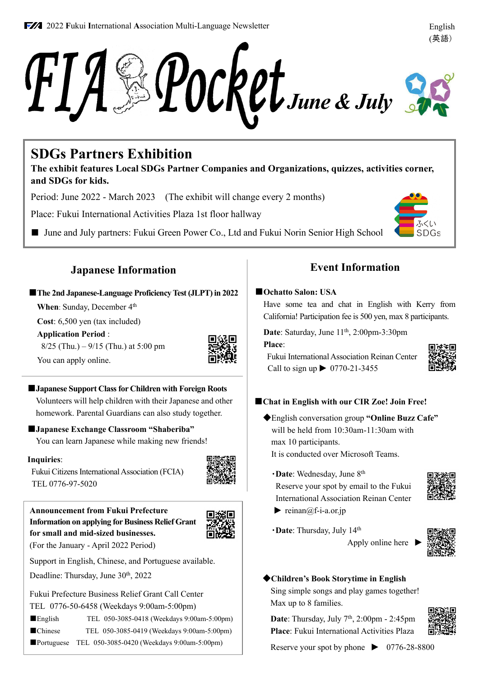### **2022 Fukui International Association Multi-Language Newsletter English**



# **SDGs Partners Exhibition**

**The exhibit features Local SDGs Partner Companies and Organizations, quizzes, activities corner, and SDGs for kids.**

Period: June 2022 - March 2023 (The exhibit will change every 2 months)

Place: Fukui International Activities Plaza 1st floor hallway

■ June and July partners: Fukui Green Power Co., Ltd and Fukui Norin Senior High School

# **Japanese Information**

## ■**The 2nd Japanese-Language Proficiency Test (JLPT) in 2022**

**When**: Sunday, December 4<sup>th</sup>

**Cost**: 6,500 yen (tax included)

**Application Period** :

You can apply online.

 $8/25$  (Thu.)  $-9/15$  (Thu.) at 5:00 pm



■**Japanese Support Class for Children with Foreign Roots** Volunteers will help children with their Japanese and other homework. Parental Guardians can also study together.

# ■**Japanese Exchange Classroom "Shaberiba"**

You can learn Japanese while making new friends!

### **Inquiries**:

Fukui Citizens International Association (FCIA) TEL 0776-97-5020



### **Announcement from Fukui Prefecture Information on applying for Business Relief Grant for small and mid-sized businesses.** (For the January - April 2022 Period)



Support in English, Chinese, and Portuguese available.

Deadline: Thursday, June 30th, 2022

Fukui Prefecture Business Relief Grant Call Center TEL 0776-50-6458 (Weekdays 9:00am-5:00pm)

■English TEL 050-3085-0418 (Weekdays 9:00am-5:00pm) ■Chinese TEL 050-3085-0419 (Weekdays 9:00am-5:00pm) ■Portuguese TEL 050-3085-0420 (Weekdays 9:00am-5:00pm)

# **Event Information**

#### ■**Ochatto Salon: USA**

Have some tea and chat in English with Kerry from California! Participation fee is 500 yen, max 8 participants.

Date: Saturday, June 11<sup>th</sup>, 2:00pm-3:30pm

### **Place**:

Fukui International Association Reinan Center Call to sign up  $\triangleright$  0770-21-3455



# ■**Chat in English with our CIR Zoe! Join Free!**

◆English conversation group **"Online Buzz Cafe"** will be held from 10:30am-11:30am with max 10 participants.

It is conducted over Microsoft Teams.

・**Date**: Wednesday, June 8th

Reserve your spot by email to the Fukui International Association Reinan Center



- reinan $@f$ -i-a.or.jp
- ・**Date**: Thursday, July 14th Apply online here



◆**Children's Book Storytime in English** Sing simple songs and play games together! Max up to 8 families.

**Date**: Thursday, July 7<sup>th</sup>, 2:00pm - 2:45pm **Place**: Fukui International Activities Plaza



Reserve your spot by phone  $\triangleright$  0776-28-8800